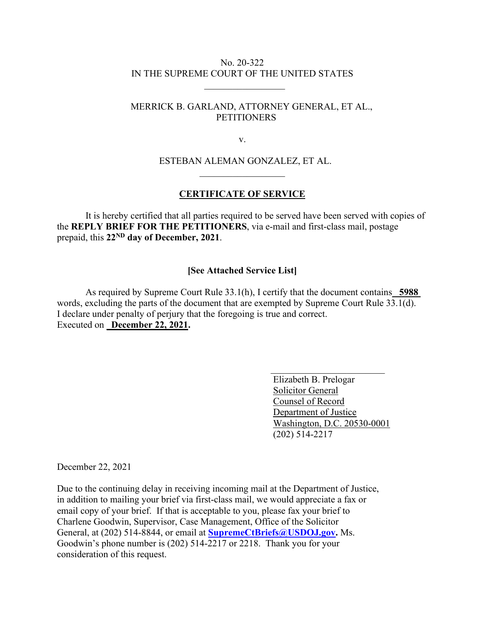## No. 20-322 IN THE SUPREME COURT OF THE UNITED STATES

# MERRICK B. GARLAND, ATTORNEY GENERAL, ET AL., **PETITIONERS**

v.

## ESTEBAN ALEMAN GONZALEZ, ET AL.  $\overline{\phantom{a}}$  , which is a set of the set of the set of the set of the set of the set of the set of the set of the set of the set of the set of the set of the set of the set of the set of the set of the set of the set of th

#### **CERTIFICATE OF SERVICE**

It is hereby certified that all parties required to be served have been served with copies of the **REPLY BRIEF FOR THE PETITIONERS**, via e-mail and first-class mail, postage prepaid, this **22ND day of December, 2021**.

#### **[See Attached Service List]**

As required by Supreme Court Rule 33.1(h), I certify that the document contains\_ **5988**  words, excluding the parts of the document that are exempted by Supreme Court Rule 33.1(d). I declare under penalty of perjury that the foregoing is true and correct. Executed on **December 22, 2021.** 

 $\mathcal{L}_\text{max}$  , which is a set of the set of the set of the set of the set of the set of the set of the set of the set of the set of the set of the set of the set of the set of the set of the set of the set of the set of

 Elizabeth B. Prelogar Solicitor General Counsel of Record Department of Justice Washington, D.C. 20530-0001 (202) 514-2217

December 22, 2021

Due to the continuing delay in receiving incoming mail at the Department of Justice, in addition to mailing your brief via first-class mail, we would appreciate a fax or email copy of your brief. If that is acceptable to you, please fax your brief to Charlene Goodwin, Supervisor, Case Management, Office of the Solicitor General, at (202) 514-8844, or email at **SupremeCtBriefs@USDOJ.gov.** Ms. Goodwin's phone number is (202) 514-2217 or 2218. Thank you for your consideration of this request.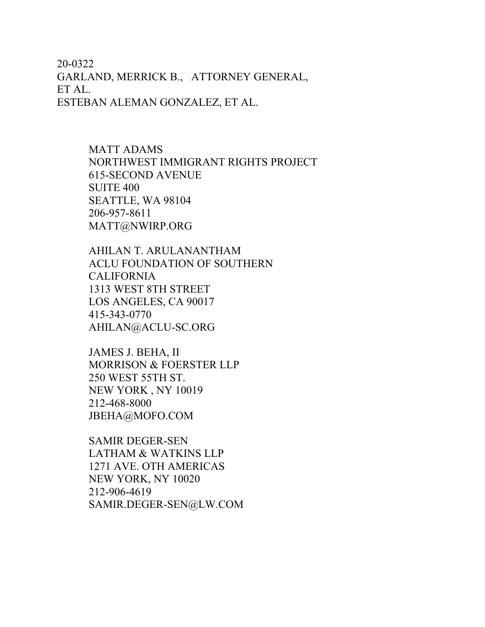20-0322 GARLAND, MERRICK B., ATTORNEY GENERAL, ET AL. ESTEBAN ALEMAN GONZALEZ, ET AL.

> MATT ADAMS NORTHWEST IMMIGRANT RIGHTS PROJECT 615-SECOND AVENUE SUITE 400 SEATTLE, WA 98104 206-957-8611 MATT@NWIRP.ORG

AHILAN T. ARULANANTHAM ACLU FOUNDATION OF SOUTHERN CALIFORNIA 1313 WEST 8TH STREET LOS ANGELES, CA 90017 415-343-0770 AHILAN@ACLU-SC.ORG

JAMES J. BEHA, II MORRISON & FOERSTER LLP 250 WEST 55TH ST. NEW YORK , NY 10019 212-468-8000 JBEHA@MOFO.COM

SAMIR DEGER-SEN LATHAM & WATKINS LLP 1271 AVE. OTH AMERICAS NEW YORK, NY 10020 212-906-4619 SAMIR.DEGER-SEN@LW.COM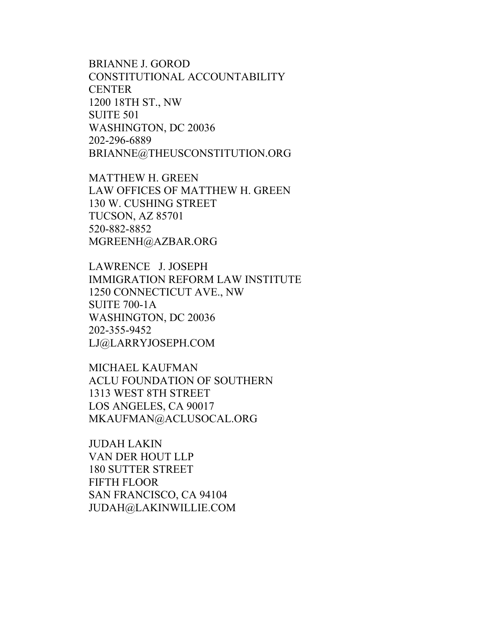BRIANNE J. GOROD CONSTITUTIONAL ACCOUNTABILITY **CENTER** 1200 18TH ST., NW SUITE 501 WASHINGTON, DC 20036 202-296-6889 BRIANNE@THEUSCONSTITUTION.ORG

MATTHEW H. GREEN LAW OFFICES OF MATTHEW H. GREEN 130 W. CUSHING STREET TUCSON, AZ 85701 520-882-8852 MGREENH@AZBAR.ORG

LAWRENCE J. JOSEPH IMMIGRATION REFORM LAW INSTITUTE 1250 CONNECTICUT AVE., NW SUITE 700-1A WASHINGTON, DC 20036 202-355-9452 LJ@LARRYJOSEPH.COM

MICHAEL KAUFMAN ACLU FOUNDATION OF SOUTHERN 1313 WEST 8TH STREET LOS ANGELES, CA 90017 MKAUFMAN@ACLUSOCAL.ORG

JUDAH LAKIN VAN DER HOUT LLP 180 SUTTER STREET FIFTH FLOOR SAN FRANCISCO, CA 94104 JUDAH@LAKINWILLIE.COM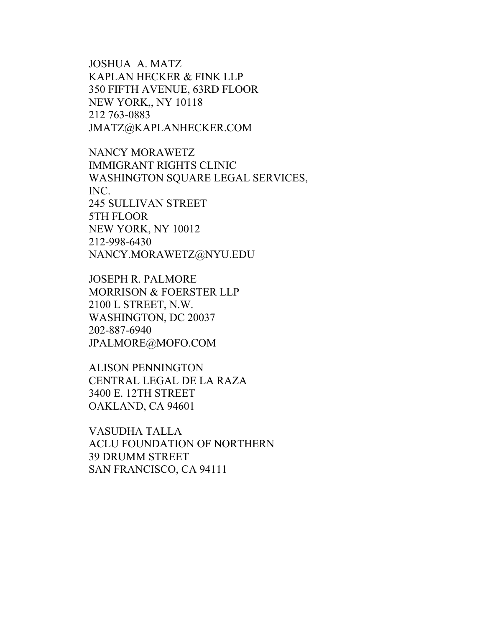JOSHUA A. MATZ KAPLAN HECKER & FINK LLP 350 FIFTH AVENUE, 63RD FLOOR NEW YORK,, NY 10118 212 763-0883 JMATZ@KAPLANHECKER.COM

NANCY MORAWETZ IMMIGRANT RIGHTS CLINIC WASHINGTON SQUARE LEGAL SERVICES, INC. 245 SULLIVAN STREET 5TH FLOOR NEW YORK, NY 10012 212-998-6430 NANCY.MORAWETZ@NYU.EDU

JOSEPH R. PALMORE MORRISON & FOERSTER LLP 2100 L STREET, N.W. WASHINGTON, DC 20037 202-887-6940 JPALMORE@MOFO.COM

ALISON PENNINGTON CENTRAL LEGAL DE LA RAZA 3400 E. 12TH STREET OAKLAND, CA 94601

VASUDHA TALLA ACLU FOUNDATION OF NORTHERN 39 DRUMM STREET SAN FRANCISCO, CA 94111